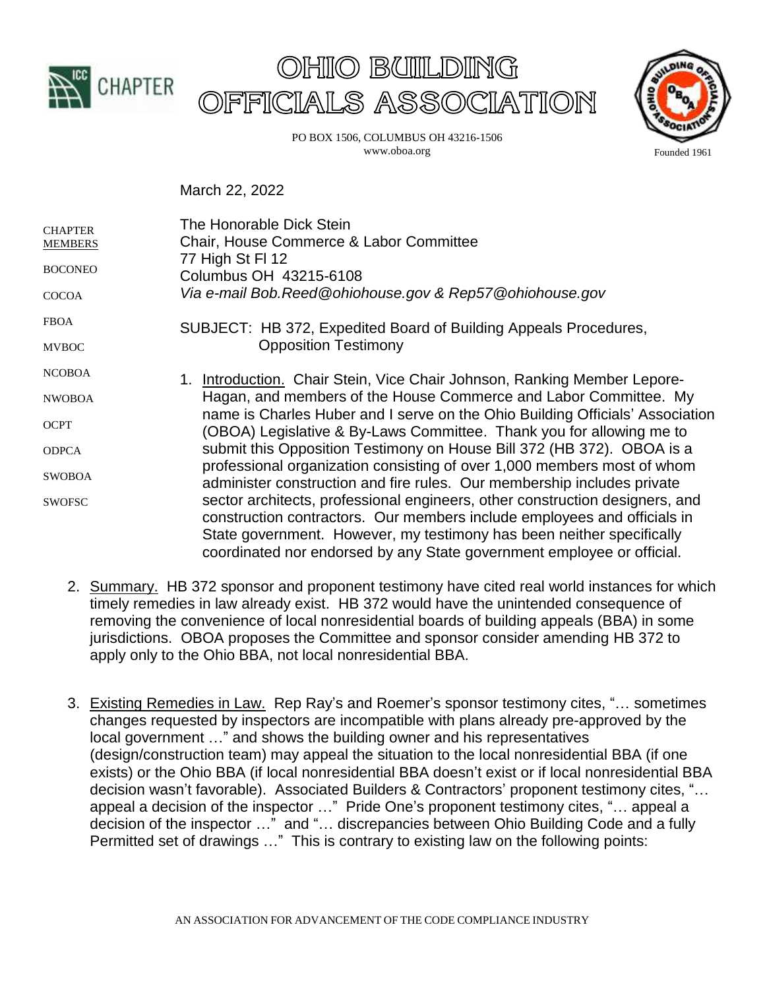





PO BOX 1506, COLUMBUS OH 43216-1506 www.oboa.org

March 22, 2022

| <b>CHAPTER</b><br><b>MEMBERS</b> | The Honorable Dick Stein<br>Chair, House Commerce & Labor Committee                                                                                                                                                                                                                                                                                                                                                                                                                                                                                                                                                                                                                                                                                                      |
|----------------------------------|--------------------------------------------------------------------------------------------------------------------------------------------------------------------------------------------------------------------------------------------------------------------------------------------------------------------------------------------------------------------------------------------------------------------------------------------------------------------------------------------------------------------------------------------------------------------------------------------------------------------------------------------------------------------------------------------------------------------------------------------------------------------------|
| <b>BOCONEO</b>                   | 77 High St FI 12<br>Columbus OH 43215-6108                                                                                                                                                                                                                                                                                                                                                                                                                                                                                                                                                                                                                                                                                                                               |
| <b>COCOA</b>                     | Via e-mail Bob.Reed@ohiohouse.gov & Rep57@ohiohouse.gov                                                                                                                                                                                                                                                                                                                                                                                                                                                                                                                                                                                                                                                                                                                  |
| <b>FBOA</b>                      | SUBJECT: HB 372, Expedited Board of Building Appeals Procedures,                                                                                                                                                                                                                                                                                                                                                                                                                                                                                                                                                                                                                                                                                                         |
| <b>MVBOC</b>                     | <b>Opposition Testimony</b>                                                                                                                                                                                                                                                                                                                                                                                                                                                                                                                                                                                                                                                                                                                                              |
| <b>NCOBOA</b>                    | 1. Introduction. Chair Stein, Vice Chair Johnson, Ranking Member Lepore-                                                                                                                                                                                                                                                                                                                                                                                                                                                                                                                                                                                                                                                                                                 |
| <b>NWOBOA</b>                    | Hagan, and members of the House Commerce and Labor Committee. My<br>name is Charles Huber and I serve on the Ohio Building Officials' Association<br>(OBOA) Legislative & By-Laws Committee. Thank you for allowing me to<br>submit this Opposition Testimony on House Bill 372 (HB 372). OBOA is a<br>professional organization consisting of over 1,000 members most of whom<br>administer construction and fire rules. Our membership includes private<br>sector architects, professional engineers, other construction designers, and<br>construction contractors. Our members include employees and officials in<br>State government. However, my testimony has been neither specifically<br>coordinated nor endorsed by any State government employee or official. |
| <b>OCPT</b>                      |                                                                                                                                                                                                                                                                                                                                                                                                                                                                                                                                                                                                                                                                                                                                                                          |
| <b>ODPCA</b>                     |                                                                                                                                                                                                                                                                                                                                                                                                                                                                                                                                                                                                                                                                                                                                                                          |
| <b>SWOBOA</b>                    |                                                                                                                                                                                                                                                                                                                                                                                                                                                                                                                                                                                                                                                                                                                                                                          |
| <b>SWOFSC</b>                    |                                                                                                                                                                                                                                                                                                                                                                                                                                                                                                                                                                                                                                                                                                                                                                          |
|                                  |                                                                                                                                                                                                                                                                                                                                                                                                                                                                                                                                                                                                                                                                                                                                                                          |

- 2. Summary. HB 372 sponsor and proponent testimony have cited real world instances for which timely remedies in law already exist. HB 372 would have the unintended consequence of removing the convenience of local nonresidential boards of building appeals (BBA) in some jurisdictions. OBOA proposes the Committee and sponsor consider amending HB 372 to apply only to the Ohio BBA, not local nonresidential BBA.
- 3. Existing Remedies in Law. Rep Ray's and Roemer's sponsor testimony cites, "… sometimes changes requested by inspectors are incompatible with plans already pre-approved by the local government …" and shows the building owner and his representatives (design/construction team) may appeal the situation to the local nonresidential BBA (if one exists) or the Ohio BBA (if local nonresidential BBA doesn't exist or if local nonresidential BBA decision wasn't favorable). Associated Builders & Contractors' proponent testimony cites, "… appeal a decision of the inspector …" Pride One's proponent testimony cites, "… appeal a decision of the inspector …" and "… discrepancies between Ohio Building Code and a fully Permitted set of drawings …" This is contrary to existing law on the following points: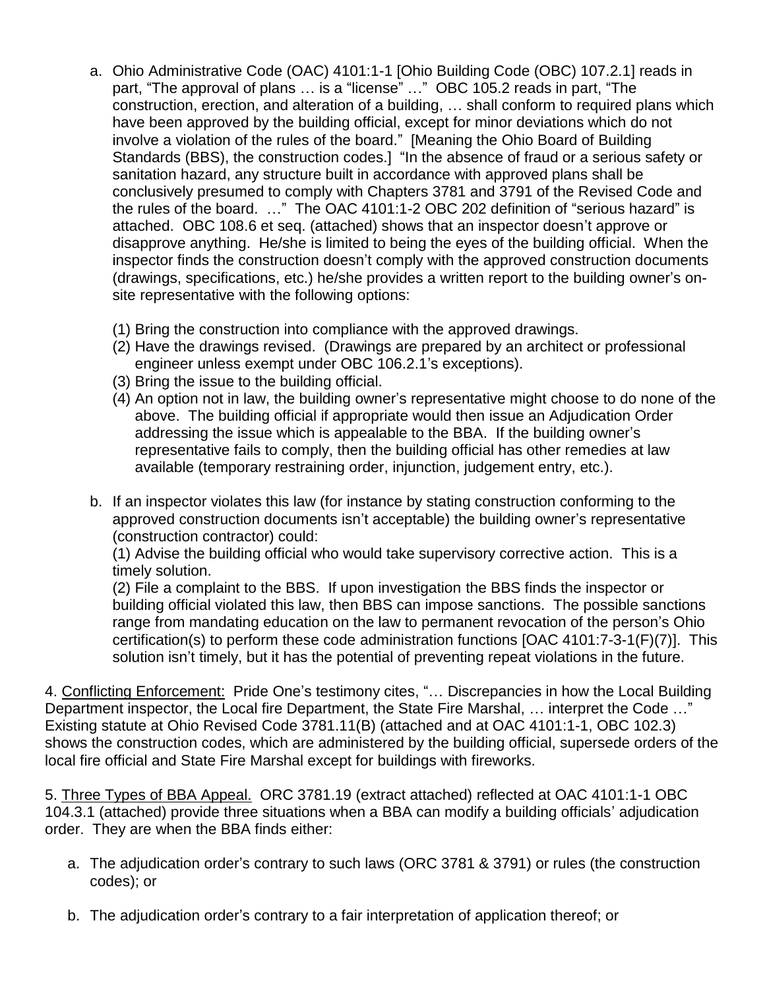- a. Ohio Administrative Code (OAC) 4101:1-1 [Ohio Building Code (OBC) 107.2.1] reads in part, "The approval of plans … is a "license" …" OBC 105.2 reads in part, "The construction, erection, and alteration of a building, … shall conform to required plans which have been approved by the building official, except for minor deviations which do not involve a violation of the rules of the board." [Meaning the Ohio Board of Building Standards (BBS), the construction codes.] "In the absence of fraud or a serious safety or sanitation hazard, any structure built in accordance with approved plans shall be conclusively presumed to comply with Chapters 3781 and 3791 of the Revised Code and the rules of the board. …" The OAC 4101:1-2 OBC 202 definition of "serious hazard" is attached. OBC 108.6 et seq. (attached) shows that an inspector doesn't approve or disapprove anything. He/she is limited to being the eyes of the building official. When the inspector finds the construction doesn't comply with the approved construction documents (drawings, specifications, etc.) he/she provides a written report to the building owner's onsite representative with the following options:
	- (1) Bring the construction into compliance with the approved drawings.
	- (2) Have the drawings revised. (Drawings are prepared by an architect or professional engineer unless exempt under OBC 106.2.1's exceptions).
	- (3) Bring the issue to the building official.
	- (4) An option not in law, the building owner's representative might choose to do none of the above. The building official if appropriate would then issue an Adjudication Order addressing the issue which is appealable to the BBA. If the building owner's representative fails to comply, then the building official has other remedies at law available (temporary restraining order, injunction, judgement entry, etc.).
- b. If an inspector violates this law (for instance by stating construction conforming to the approved construction documents isn't acceptable) the building owner's representative (construction contractor) could:

(1) Advise the building official who would take supervisory corrective action. This is a timely solution.

(2) File a complaint to the BBS. If upon investigation the BBS finds the inspector or building official violated this law, then BBS can impose sanctions. The possible sanctions range from mandating education on the law to permanent revocation of the person's Ohio certification(s) to perform these code administration functions [OAC 4101:7-3-1(F)(7)]. This solution isn't timely, but it has the potential of preventing repeat violations in the future.

4. Conflicting Enforcement: Pride One's testimony cites, "... Discrepancies in how the Local Building Department inspector, the Local fire Department, the State Fire Marshal, … interpret the Code …" Existing statute at Ohio Revised Code 3781.11(B) (attached and at OAC 4101:1-1, OBC 102.3) shows the construction codes, which are administered by the building official, supersede orders of the local fire official and State Fire Marshal except for buildings with fireworks.

5. Three Types of BBA Appeal. ORC 3781.19 (extract attached) reflected at OAC 4101:1-1 OBC 104.3.1 (attached) provide three situations when a BBA can modify a building officials' adjudication order. They are when the BBA finds either:

- a. The adjudication order's contrary to such laws (ORC 3781 & 3791) or rules (the construction codes); or
- b. The adjudication order's contrary to a fair interpretation of application thereof; or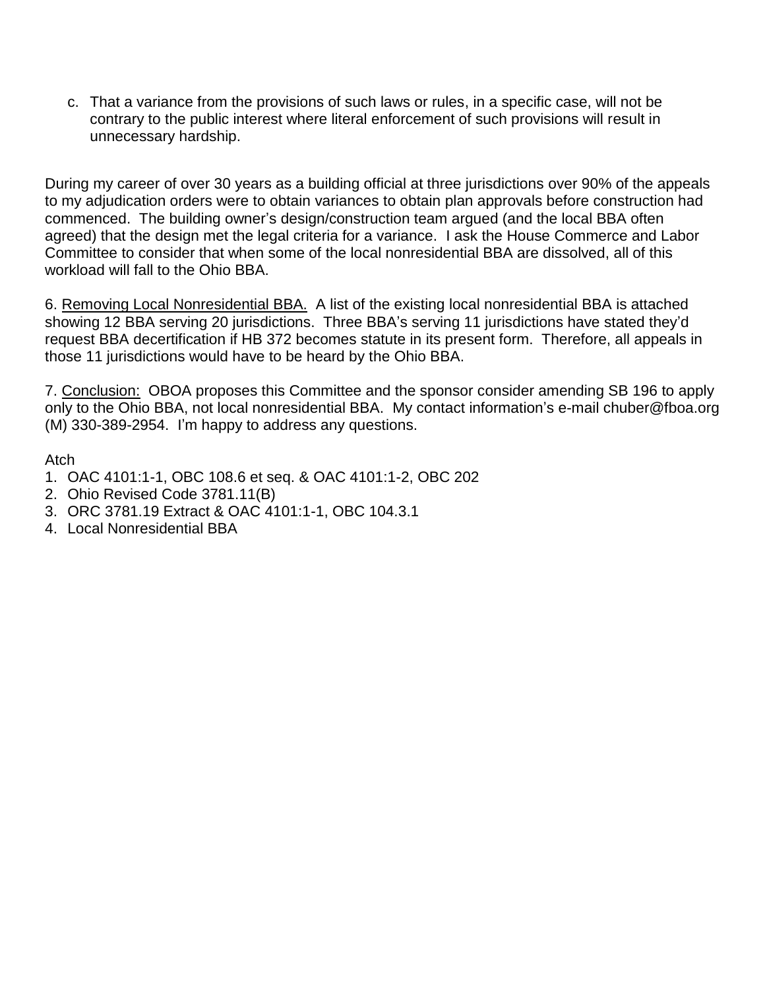c. That a variance from the provisions of such laws or rules, in a specific case, will not be contrary to the public interest where literal enforcement of such provisions will result in unnecessary hardship.

During my career of over 30 years as a building official at three jurisdictions over 90% of the appeals to my adjudication orders were to obtain variances to obtain plan approvals before construction had commenced. The building owner's design/construction team argued (and the local BBA often agreed) that the design met the legal criteria for a variance. I ask the House Commerce and Labor Committee to consider that when some of the local nonresidential BBA are dissolved, all of this workload will fall to the Ohio BBA.

6. Removing Local Nonresidential BBA. A list of the existing local nonresidential BBA is attached showing 12 BBA serving 20 jurisdictions. Three BBA's serving 11 jurisdictions have stated they'd request BBA decertification if HB 372 becomes statute in its present form. Therefore, all appeals in those 11 jurisdictions would have to be heard by the Ohio BBA.

7. Conclusion: OBOA proposes this Committee and the sponsor consider amending SB 196 to apply only to the Ohio BBA, not local nonresidential BBA. My contact information's e-mail chuber@fboa.org (M) 330-389-2954. I'm happy to address any questions.

Atch

- 1. OAC 4101:1-1, OBC 108.6 et seq. & OAC 4101:1-2, OBC 202
- 2. Ohio Revised Code 3781.11(B)
- 3. ORC 3781.19 Extract & OAC 4101:1-1, OBC 104.3.1
- 4. Local Nonresidential BBA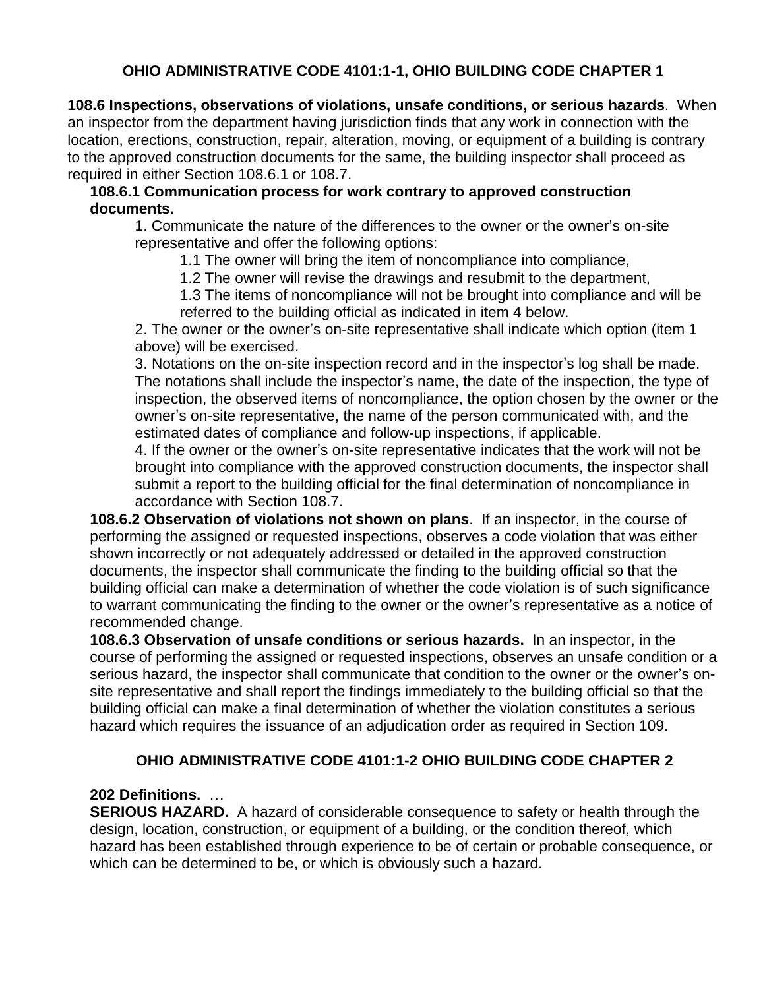# **OHIO ADMINISTRATIVE CODE 4101:1-1, OHIO BUILDING CODE CHAPTER 1**

**108.6 Inspections, observations of violations, unsafe conditions, or serious hazards**. When an inspector from the department having jurisdiction finds that any work in connection with the location, erections, construction, repair, alteration, moving, or equipment of a building is contrary to the approved construction documents for the same, the building inspector shall proceed as required in either Section 108.6.1 or 108.7.

## **108.6.1 Communication process for work contrary to approved construction documents.**

1. Communicate the nature of the differences to the owner or the owner's on-site representative and offer the following options:

- 1.1 The owner will bring the item of noncompliance into compliance,
- 1.2 The owner will revise the drawings and resubmit to the department,
- 1.3 The items of noncompliance will not be brought into compliance and will be referred to the building official as indicated in item 4 below.

2. The owner or the owner's on-site representative shall indicate which option (item 1 above) will be exercised.

3. Notations on the on-site inspection record and in the inspector's log shall be made. The notations shall include the inspector's name, the date of the inspection, the type of inspection, the observed items of noncompliance, the option chosen by the owner or the owner's on-site representative, the name of the person communicated with, and the estimated dates of compliance and follow-up inspections, if applicable.

4. If the owner or the owner's on-site representative indicates that the work will not be brought into compliance with the approved construction documents, the inspector shall submit a report to the building official for the final determination of noncompliance in accordance with Section 108.7.

**108.6.2 Observation of violations not shown on plans**. If an inspector, in the course of performing the assigned or requested inspections, observes a code violation that was either shown incorrectly or not adequately addressed or detailed in the approved construction documents, the inspector shall communicate the finding to the building official so that the building official can make a determination of whether the code violation is of such significance to warrant communicating the finding to the owner or the owner's representative as a notice of recommended change.

**108.6.3 Observation of unsafe conditions or serious hazards.** In an inspector, in the course of performing the assigned or requested inspections, observes an unsafe condition or a serious hazard, the inspector shall communicate that condition to the owner or the owner's onsite representative and shall report the findings immediately to the building official so that the building official can make a final determination of whether the violation constitutes a serious hazard which requires the issuance of an adjudication order as required in Section 109.

## **OHIO ADMINISTRATIVE CODE 4101:1-2 OHIO BUILDING CODE CHAPTER 2**

## **202 Definitions.** …

**SERIOUS HAZARD.** A hazard of considerable consequence to safety or health through the design, location, construction, or equipment of a building, or the condition thereof, which hazard has been established through experience to be of certain or probable consequence, or which can be determined to be, or which is obviously such a hazard.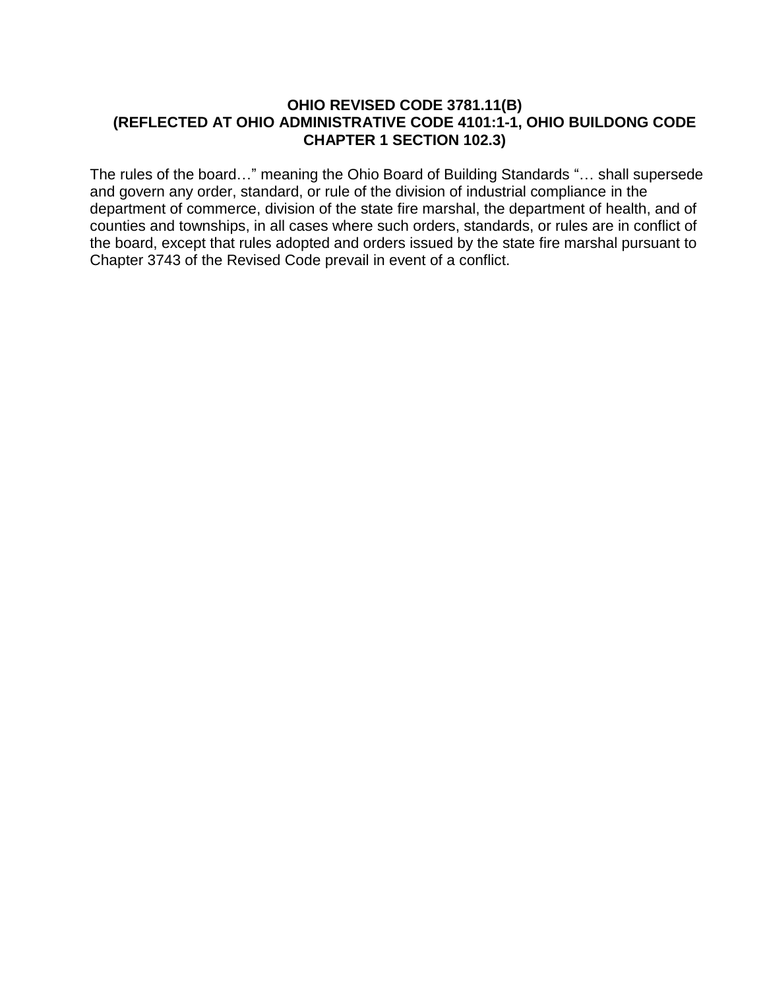#### **OHIO REVISED CODE 3781.11(B) (REFLECTED AT OHIO ADMINISTRATIVE CODE 4101:1-1, OHIO BUILDONG CODE CHAPTER 1 SECTION 102.3)**

The rules of the board…" meaning the Ohio Board of Building Standards "… shall supersede and govern any order, standard, or rule of the division of industrial compliance in the department of commerce, division of the state fire marshal, the department of health, and of counties and townships, in all cases where such orders, standards, or rules are in conflict of the board, except that rules adopted and orders issued by the state fire marshal pursuant to Chapter 3743 of the Revised Code prevail in event of a conflict.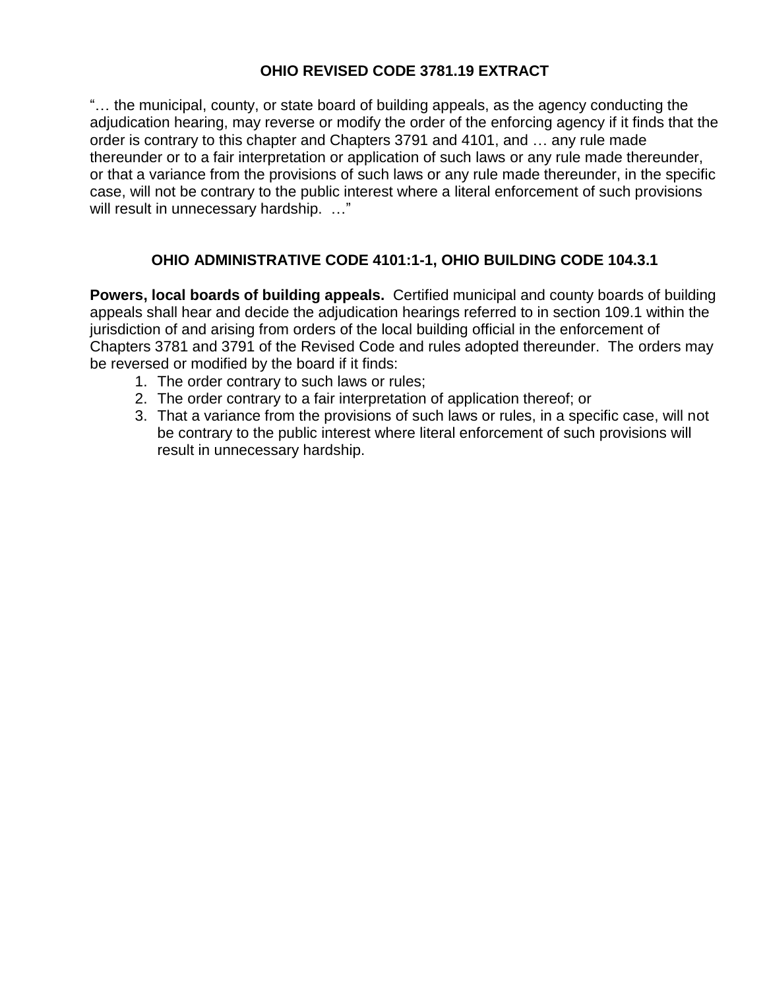# **OHIO REVISED CODE 3781.19 EXTRACT**

"… the municipal, county, or state board of building appeals, as the agency conducting the adjudication hearing, may reverse or modify the order of the enforcing agency if it finds that the order is contrary to this chapter and Chapters 3791 and 4101, and … any rule made thereunder or to a fair interpretation or application of such laws or any rule made thereunder, or that a variance from the provisions of such laws or any rule made thereunder, in the specific case, will not be contrary to the public interest where a literal enforcement of such provisions will result in unnecessary hardship. ..."

# **OHIO ADMINISTRATIVE CODE 4101:1-1, OHIO BUILDING CODE 104.3.1**

**Powers, local boards of building appeals.** Certified municipal and county boards of building appeals shall hear and decide the adjudication hearings referred to in section 109.1 within the jurisdiction of and arising from orders of the local building official in the enforcement of Chapters 3781 and 3791 of the Revised Code and rules adopted thereunder. The orders may be reversed or modified by the board if it finds:

- 1. The order contrary to such laws or rules;
- 2. The order contrary to a fair interpretation of application thereof; or
- 3. That a variance from the provisions of such laws or rules, in a specific case, will not be contrary to the public interest where literal enforcement of such provisions will result in unnecessary hardship.